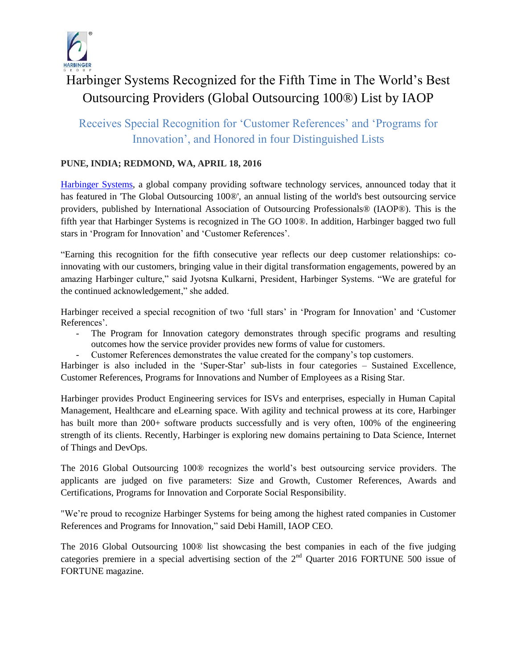

# Harbinger Systems Recognized for the Fifth Time in The World's Best Outsourcing Providers (Global Outsourcing 100®) List by IAOP

# Receives Special Recognition for 'Customer References' and 'Programs for Innovation', and Honored in four Distinguished Lists

## **PUNE, INDIA; REDMOND, WA, APRIL 18, 2016**

[Harbinger Systems,](http://harbinger-systems.com/) a global company providing software technology services, announced today that it has featured in 'The Global Outsourcing 100®', an annual listing of the world's best outsourcing service providers, published by International Association of Outsourcing Professionals® (IAOP®). This is the fifth year that Harbinger Systems is recognized in The GO 100®. In addition, Harbinger bagged two full stars in 'Program for Innovation' and 'Customer References'.

"Earning this recognition for the fifth consecutive year reflects our deep customer relationships: coinnovating with our customers, bringing value in their digital transformation engagements, powered by an amazing Harbinger culture," said Jyotsna Kulkarni, President, Harbinger Systems. "We are grateful for the continued acknowledgement," she added.

Harbinger received a special recognition of two 'full stars' in 'Program for Innovation' and 'Customer References'.

- The Program for Innovation category demonstrates through specific programs and resulting outcomes how the service provider provides new forms of value for customers.
- Customer References demonstrates the value created for the company's top customers.

Harbinger is also included in the 'Super-Star' sub-lists in four categories – Sustained Excellence, Customer References, Programs for Innovations and Number of Employees as a Rising Star.

Harbinger provides Product Engineering services for ISVs and enterprises, especially in Human Capital Management, Healthcare and eLearning space. With agility and technical prowess at its core, Harbinger has built more than 200+ software products successfully and is very often, 100% of the engineering strength of its clients. Recently, Harbinger is exploring new domains pertaining to Data Science, Internet of Things and DevOps.

The 2016 Global Outsourcing 100® recognizes the world's best outsourcing service providers. The applicants are judged on five parameters: Size and Growth, Customer References, Awards and Certifications, Programs for Innovation and Corporate Social Responsibility.

"We're proud to recognize Harbinger Systems for being among the highest rated companies in Customer References and Programs for Innovation," said Debi Hamill, IAOP CEO.

The 2016 Global Outsourcing 100® list showcasing the best companies in each of the five judging categories premiere in a special advertising section of the  $2<sup>nd</sup>$  Quarter 2016 FORTUNE 500 issue of FORTUNE magazine.